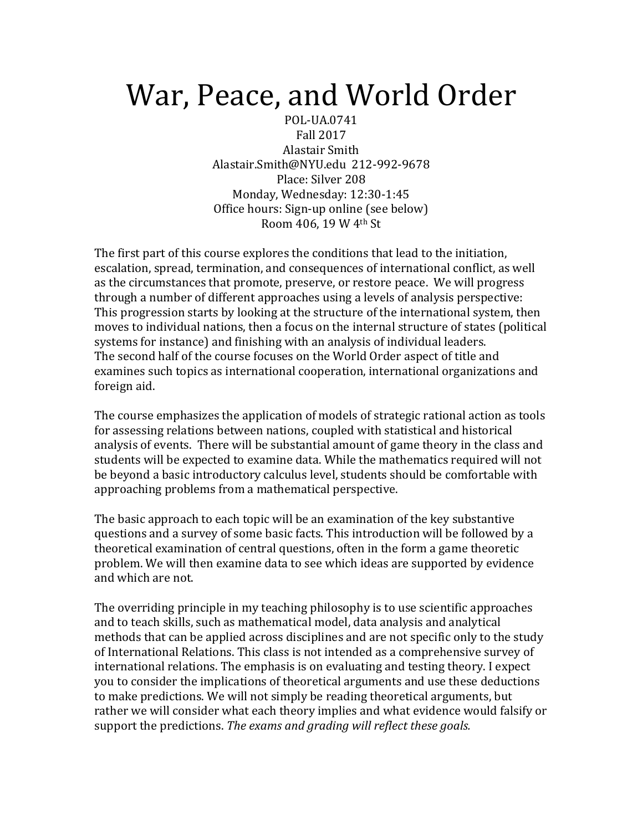## War, Peace, and World Order

POL-UA.0741 Fall 2017 Alastair Smith Alastair.Smith@NYU.edu 212-992-9678 Place: Silver 208 Monday, Wednesday: 12:30-1:45 Office hours: Sign-up online (see below) Room 406, 19 W 4th St

The first part of this course explores the conditions that lead to the initiation, escalation, spread, termination, and consequences of international conflict, as well as the circumstances that promote, preserve, or restore peace. We will progress through a number of different approaches using a levels of analysis perspective: This progression starts by looking at the structure of the international system, then moves to individual nations, then a focus on the internal structure of states (political systems for instance) and finishing with an analysis of individual leaders. The second half of the course focuses on the World Order aspect of title and examines such topics as international cooperation, international organizations and foreign aid.

The course emphasizes the application of models of strategic rational action as tools for assessing relations between nations, coupled with statistical and historical analysis of events. There will be substantial amount of game theory in the class and students will be expected to examine data. While the mathematics required will not be beyond a basic introductory calculus level, students should be comfortable with approaching problems from a mathematical perspective.

The basic approach to each topic will be an examination of the key substantive questions and a survey of some basic facts. This introduction will be followed by a theoretical examination of central questions, often in the form a game theoretic problem. We will then examine data to see which ideas are supported by evidence and which are not.

The overriding principle in my teaching philosophy is to use scientific approaches and to teach skills, such as mathematical model, data analysis and analytical methods that can be applied across disciplines and are not specific only to the study of International Relations. This class is not intended as a comprehensive survey of international relations. The emphasis is on evaluating and testing theory. I expect you to consider the implications of theoretical arguments and use these deductions to make predictions. We will not simply be reading theoretical arguments, but rather we will consider what each theory implies and what evidence would falsify or support the predictions. The exams and grading will reflect these goals.